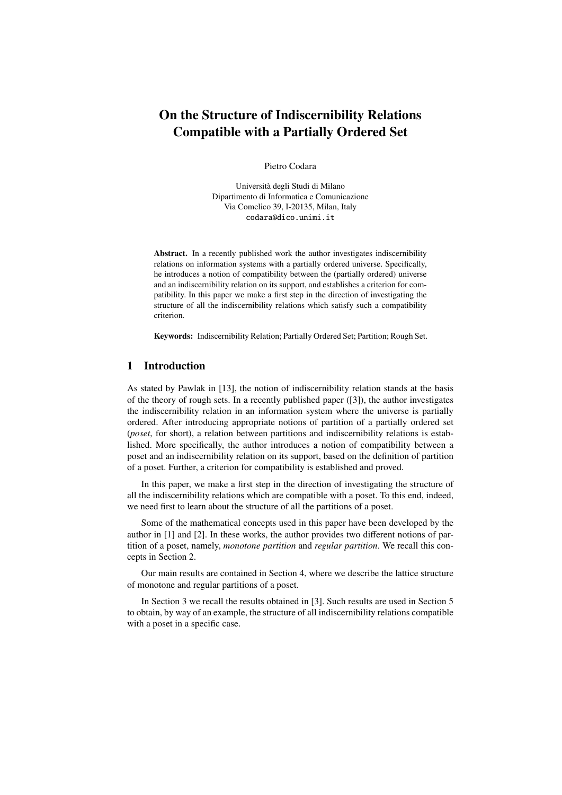# On the Structure of Indiscernibility Relations Compatible with a Partially Ordered Set

Pietro Codara

Universita degli Studi di Milano ` Dipartimento di Informatica e Comunicazione Via Comelico 39, I-20135, Milan, Italy codara@dico.unimi.it

Abstract. In a recently published work the author investigates indiscernibility relations on information systems with a partially ordered universe. Specifically, he introduces a notion of compatibility between the (partially ordered) universe and an indiscernibility relation on its support, and establishes a criterion for compatibility. In this paper we make a first step in the direction of investigating the structure of all the indiscernibility relations which satisfy such a compatibility criterion.

Keywords: Indiscernibility Relation; Partially Ordered Set; Partition; Rough Set.

## 1 Introduction

As stated by Pawlak in [13], the notion of indiscernibility relation stands at the basis of the theory of rough sets. In a recently published paper ([3]), the author investigates the indiscernibility relation in an information system where the universe is partially ordered. After introducing appropriate notions of partition of a partially ordered set (*poset*, for short), a relation between partitions and indiscernibility relations is established. More specifically, the author introduces a notion of compatibility between a poset and an indiscernibility relation on its support, based on the definition of partition of a poset. Further, a criterion for compatibility is established and proved.

In this paper, we make a first step in the direction of investigating the structure of all the indiscernibility relations which are compatible with a poset. To this end, indeed, we need first to learn about the structure of all the partitions of a poset.

Some of the mathematical concepts used in this paper have been developed by the author in [1] and [2]. In these works, the author provides two different notions of partition of a poset, namely, *monotone partition* and *regular partition*. We recall this concepts in Section 2.

Our main results are contained in Section 4, where we describe the lattice structure of monotone and regular partitions of a poset.

In Section 3 we recall the results obtained in [3]. Such results are used in Section 5 to obtain, by way of an example, the structure of all indiscernibility relations compatible with a poset in a specific case.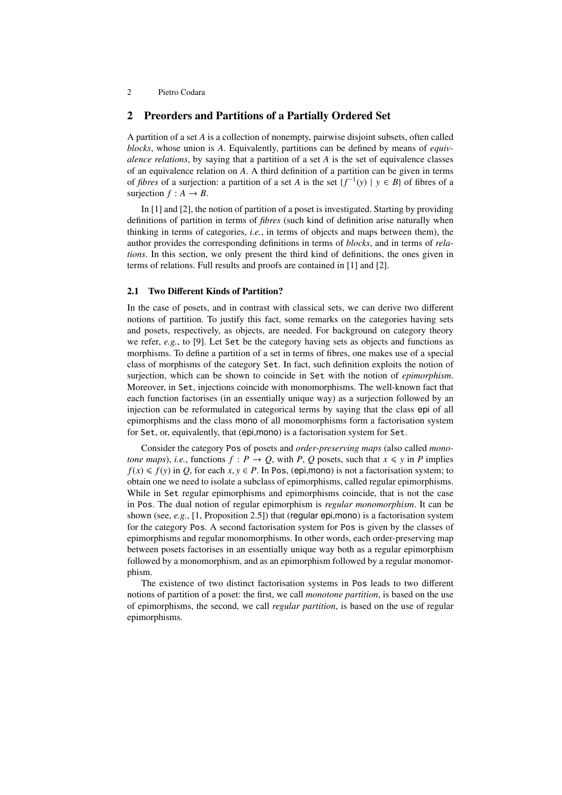#### 2 Preorders and Partitions of a Partially Ordered Set

A partition of a set *A* is a collection of nonempty, pairwise disjoint subsets, often called *blocks*, whose union is *A*. Equivalently, partitions can be defined by means of *equivalence relations*, by saying that a partition of a set *A* is the set of equivalence classes of an equivalence relation on *A*. A third definition of a partition can be given in terms of *fibres* of a surjection: a partition of a set *A* is the set  $\{f^{-1}(y) \mid y \in B\}$  of fibres of a surjection  $f : A \rightarrow B$ .

In [1] and [2], the notion of partition of a poset is investigated. Starting by providing definitions of partition in terms of *fibres* (such kind of definition arise naturally when thinking in terms of categories, *i.e.*, in terms of objects and maps between them), the author provides the corresponding definitions in terms of *blocks*, and in terms of *relations*. In this section, we only present the third kind of definitions, the ones given in terms of relations. Full results and proofs are contained in [1] and [2].

#### 2.1 Two Different Kinds of Partition?

In the case of posets, and in contrast with classical sets, we can derive two different notions of partition. To justify this fact, some remarks on the categories having sets and posets, respectively, as objects, are needed. For background on category theory we refer, *e.g.*, to [9]. Let Set be the category having sets as objects and functions as morphisms. To define a partition of a set in terms of fibres, one makes use of a special class of morphisms of the category Set. In fact, such definition exploits the notion of surjection, which can be shown to coincide in Set with the notion of *epimorphism*. Moreover, in Set, injections coincide with monomorphisms. The well-known fact that each function factorises (in an essentially unique way) as a surjection followed by an injection can be reformulated in categorical terms by saying that the class epi of all epimorphisms and the class mono of all monomorphisms form a factorisation system for Set, or, equivalently, that (epi,mono) is a factorisation system for Set.

Consider the category Pos of posets and *order-preserving maps* (also called *monotone maps*), *i.e.*, functions  $f : P \to Q$ , with *P*, *Q* posets, such that  $x \le y$  in *P* implies  $f(x) \leq f(y)$  in *Q*, for each  $x, y \in P$ . In Pos, (epi,mono) is not a factorisation system; to obtain one we need to isolate a subclass of epimorphisms, called regular epimorphisms. While in Set regular epimorphisms and epimorphisms coincide, that is not the case in Pos. The dual notion of regular epimorphism is *regular monomorphism*. It can be shown (see, *e.g.*, [1, Proposition 2.5]) that (regular epi,mono) is a factorisation system for the category Pos. A second factorisation system for Pos is given by the classes of epimorphisms and regular monomorphisms. In other words, each order-preserving map between posets factorises in an essentially unique way both as a regular epimorphism followed by a monomorphism, and as an epimorphism followed by a regular monomorphism.

The existence of two distinct factorisation systems in Pos leads to two different notions of partition of a poset: the first, we call *monotone partition*, is based on the use of epimorphisms, the second, we call *regular partition*, is based on the use of regular epimorphisms.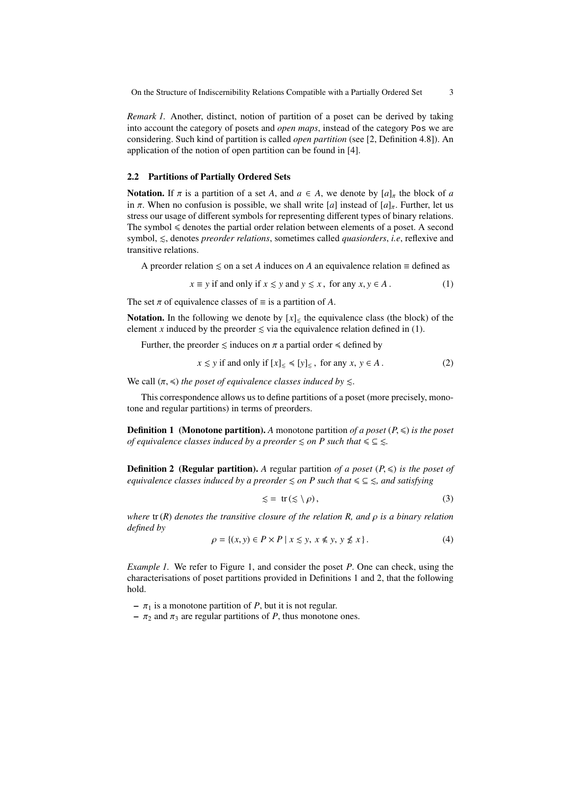*Remark 1.* Another, distinct, notion of partition of a poset can be derived by taking into account the category of posets and *open maps*, instead of the category Pos we are considering. Such kind of partition is called *open partition* (see [2, Definition 4.8]). An application of the notion of open partition can be found in [4].

#### 2.2 Partitions of Partially Ordered Sets

**Notation.** If  $\pi$  is a partition of a set *A*, and  $a \in A$ , we denote by  $[a]_{\pi}$  the block of *a* in  $\pi$ . When no confusion is possible, we shall write [*a*] instead of  $[a]_{\pi}$ . Further, let us stress our usage of different symbols for representing different types of binary relations. The symbol  $\leq$  denotes the partial order relation between elements of a poset. A second symbol,  $\leq$ , denotes *preorder relations*, sometimes called *quasiorders*, *i.e.* reflexive and transitive relations.

A preorder relation  $\leq$  on a set *A* induces on *A* an equivalence relation  $\equiv$  defined as

$$
x \equiv y \text{ if and only if } x \le y \text{ and } y \le x, \text{ for any } x, y \in A. \tag{1}
$$

The set  $\pi$  of equivalence classes of  $\equiv$  is a partition of A.

**Notation.** In the following we denote by  $[x]_<$  the equivalence class (the block) of the element *x* induced by the preorder  $\leq$  via the equivalence relation defined in (1).

Further, the preorder  $\leq$  induces on  $\pi$  a partial order  $\leq$  defined by

$$
x \lesssim y
$$
 if and only if  $[x]_{\leq} \leq [y]_{\leq}$ , for any  $x, y \in A$ . (2)

We call  $(\pi, \leq)$  *the poset of equivalence classes induced by*  $\leq$ .

This correspondence allows us to define partitions of a poset (more precisely, monotone and regular partitions) in terms of preorders.

**Definition 1** (Monotone partition). A monotone partition of a poset  $(P, \leq)$  is the poset *of equivalence classes induced by a preorder*  $\leq$  *on P such that*  $\leq \leq \leq$ .

**Definition 2** (**Regular partition**). A regular partition of a poset  $(P, \leq)$  is the poset of *equivalence classes induced by a preorder*  $\leq$  *on P such that*  $\leq \leq \leq$ *, and satisfying* 

$$
\leqslant = \text{tr}\left(\leqslant \setminus \rho\right),\tag{3}
$$

*where* tr (*R*) *denotes the transitive closure of the relation R, and* ρ *is a binary relation defined by*

$$
\rho = \{(x, y) \in P \times P \mid x \leq y, x \leq y, y \not\leq x\}.
$$
\n<sup>(4)</sup>

*Example 1.* We refer to Figure 1, and consider the poset P. One can check, using the characterisations of poset partitions provided in Definitions 1 and 2, that the following hold.

- $\pi_1$  is a monotone partition of *P*, but it is not regular.
- $\pi_2$  and  $\pi_3$  are regular partitions of *P*, thus monotone ones.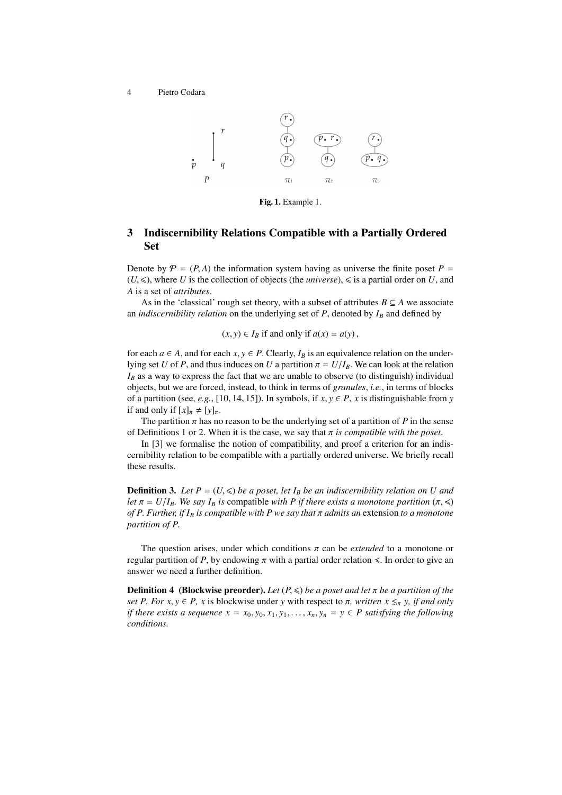

Fig. 1. Example 1.

# 3 Indiscernibility Relations Compatible with a Partially Ordered Set

Denote by  $P = (P, A)$  the information system having as universe the finite poset  $P =$  $(U, \leq),$  where *U* is the collection of objects (the *universe*),  $\leq$  is a partial order on *U*, and *A* is a set of *attributes*.

As in the 'classical' rough set theory, with a subset of attributes  $B \subseteq A$  we associate an *indiscernibility relation* on the underlying set of  $P$ , denoted by  $I_B$  and defined by

$$
(x, y) \in I_B
$$
 if and only if  $a(x) = a(y)$ ,

for each  $a \in A$ , and for each  $x, y \in P$ . Clearly,  $I_B$  is an equivalence relation on the underlying set *U* of *P*, and thus induces on *U* a partition  $\pi = U/I_B$ . We can look at the relation  $I_B$  as a way to express the fact that we are unable to observe (to distinguish) individual objects, but we are forced, instead, to think in terms of *granules*, *i.e.*, in terms of blocks of a partition (see, *e.g.*, [10, 14, 15]). In symbols, if  $x, y \in P$ ,  $x$  is distinguishable from  $y$ if and only if  $[x]_{\pi} \neq [y]_{\pi}$ .

The partition  $\pi$  has no reason to be the underlying set of a partition of *P* in the sense of Definitions 1 or 2. When it is the case, we say that  $\pi$  *is compatible with the poset*.

In [3] we formalise the notion of compatibility, and proof a criterion for an indiscernibility relation to be compatible with a partially ordered universe. We briefly recall these results.

**Definition 3.** Let  $P = (U, \leq)$  be a poset, let  $I_B$  be an indiscernibility relation on U and *let*  $\pi = U/I_B$ *. We say*  $I_B$  *is* compatible *with P if there exists a monotone partition* ( $\pi$ ,  $\leq$ ) *of P. Further, if I<sup>B</sup> is compatible with P we say that* <sup>π</sup> *admits an* extension *to a monotone partition of P.*

The question arises, under which conditions  $\pi$  can be *extended* to a monotone or regular partition of *P*, by endowing  $\pi$  with a partial order relation  $\leq$ . In order to give an answer we need a further definition.

**Definition 4 (Blockwise preorder).** Let  $(P, \leqslant)$  be a poset and let  $\pi$  be a partition of the *set P. For x, y*  $\in$  *P, x* is blockwise under *y* with respect to  $\pi$ *, written x*  $\leq_{\pi}$  *y, if and only if there exists a sequence*  $x = x_0, y_0, x_1, y_1, \ldots, x_n, y_n = y \in P$  satisfying the following *conditions.*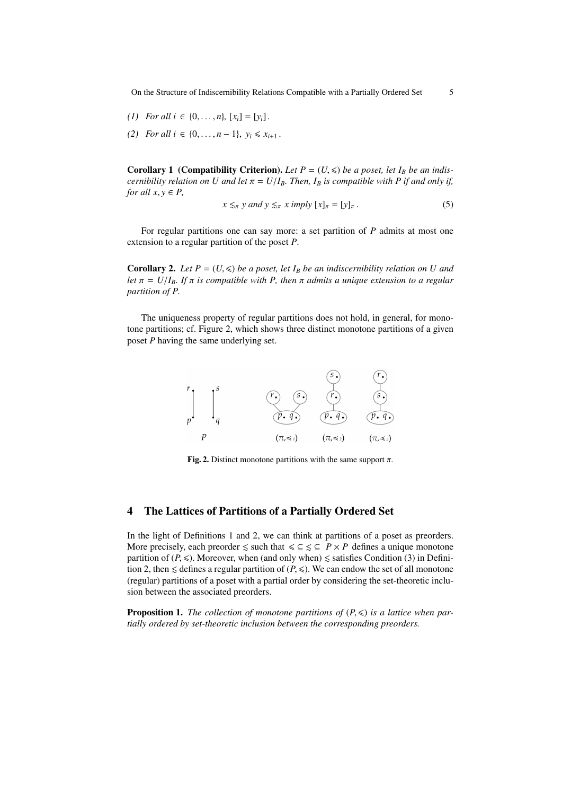On the Structure of Indiscernibility Relations Compatible with a Partially Ordered Set 5

- (1) For all  $i \in \{0, \ldots, n\}$ ,  $[x_i] = [y_i]$ .
- *(2) For all i* ∈ {0, . . . , *n* − 1},  $y_i \le x_{i+1}$ .

**Corollary 1 (Compatibility Criterion).** Let  $P = (U, \leq)$  be a poset, let  $I_B$  be an indis*cernibility relation on U and let*  $\pi = U/I_B$ *. Then, I<sub>B</sub> is compatible with P if and only if, for all*  $x, y \in P$ ,

$$
x \lesssim_{\pi} y \text{ and } y \lesssim_{\pi} x \text{ imply } [x]_{\pi} = [y]_{\pi}.
$$
 (5)

For regular partitions one can say more: a set partition of *P* admits at most one extension to a regular partition of the poset *P*.

**Corollary 2.** Let  $P = (U, \leq)$  be a poset, let  $I_B$  be an indiscernibility relation on U and *let*  $\pi = U/I_B$ *. If*  $\pi$  *is compatible with P, then*  $\pi$  *admits a unique extension to a regular partition of P.*

The uniqueness property of regular partitions does not hold, in general, for monotone partitions; cf. Figure 2, which shows three distinct monotone partitions of a given poset *P* having the same underlying set.



Fig. 2. Distinct monotone partitions with the same support  $\pi$ .

## 4 The Lattices of Partitions of a Partially Ordered Set

In the light of Definitions 1 and 2, we can think at partitions of a poset as preorders. More precisely, each preorder  $\leq$  such that  $\leq \leq \leq P \times P$  defines a unique monotone partition of  $(P, \leqslant)$ . Moreover, when (and only when)  $\leq$  satisfies Condition (3) in Definition 2, then  $\leq$  defines a regular partition of  $(P, \leq)$ . We can endow the set of all monotone (regular) partitions of a poset with a partial order by considering the set-theoretic inclusion between the associated preorders.

**Proposition 1.** The collection of monotone partitions of  $(P, \leq)$  is a lattice when par*tially ordered by set-theoretic inclusion between the corresponding preorders.*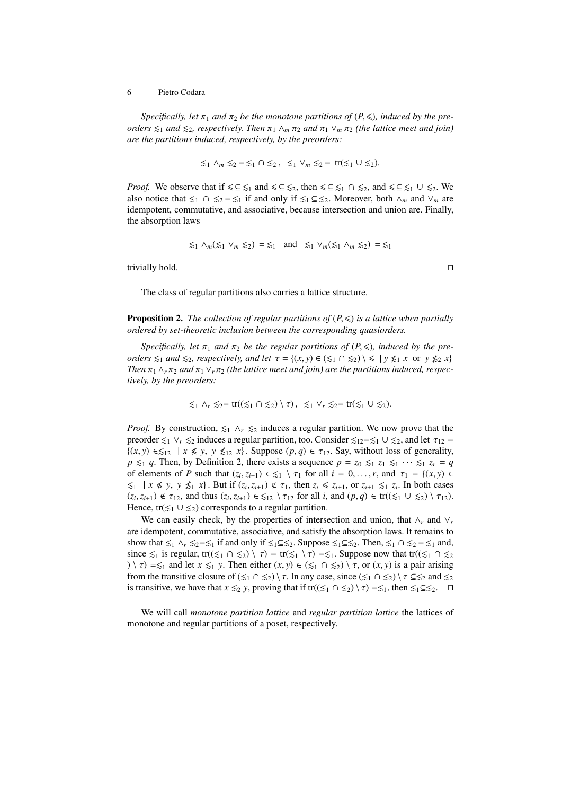#### 6 Pietro Codara

*Specifically, let*  $\pi_1$  *and*  $\pi_2$  *be the monotone partitions of*  $(P, \leq)$ *, induced by the preorders*  $\leq_1$  *and*  $\leq_2$ *, respectively. Then*  $\pi_1 \wedge_m \pi_2$  *and*  $\pi_1 \vee_m \pi_2$  *(the lattice meet and join) are the partitions induced, respectively, by the preorders:*

$$
\leq_1 \wedge_m \leq_2 = \leq_1 \cap \leq_2, \ \leq_1 \vee_m \leq_2 = \text{tr}(\leq_1 \cup \leq_2).
$$

*Proof.* We observe that if  $\leq \leq \leq_1$  and  $\leq \leq \leq_2$ , then  $\leq \leq \leq_1 \cap \leq_2$ , and  $\leq \leq \leq_1 \cup \leq_2$ . We also notice that  $\leq_1 \cap \leq_2 = \leq_1$  if and only if  $\leq_1 \subseteq \leq_2$ . Moreover, both  $\wedge_m$  and  $\vee_m$  are idempotent, commutative, and associative, because intersection and union are. Finally, the absorption laws

$$
\lesssim_1 \wedge_m(\lesssim_1 \vee_m \lesssim_2) = \lesssim_1
$$
 and  $\lesssim_1 \vee_m(\lesssim_1 \wedge_m \lesssim_2) = \lesssim_1$ 

trivially hold.  $\Box$ 

The class of regular partitions also carries a lattice structure.

**Proposition 2.** *The collection of regular partitions of*  $(P, \leqslant)$  *is a lattice when partially ordered by set-theoretic inclusion between the corresponding quasiorders.*

Specifically, let  $\pi_1$  and  $\pi_2$  be the regular partitions of  $(P, \leqslant)$ , induced by the pre*orders*  $\leq_1$  *and*  $\leq_2$ *, respectively, and let*  $\tau = \{(x, y) \in (\leq_1 \cap \leq_2) \} \leq |y \nleq_1 x$  or  $y \nleq_2 x\}$ *Then*  $\pi_1 \wedge_r \pi_2$  *and*  $\pi_1 \vee_r \pi_2$  *(the lattice meet and join) are the partitions induced, respectively, by the preorders:*

$$
\leq_1 \wedge_r \leq_2 = \text{tr}((\leq_1 \cap \leq_2) \setminus \tau), \ \leq_1 \vee_r \leq_2 = \text{tr}(\leq_1 \cup \leq_2).
$$

*Proof.* By construction,  $\leq_1 \wedge_r \leq_2$  induces a regular partition. We now prove that the preorder  $\leq_1$   $\vee_r$   $\leq_2$  induces a regular partition, too. Consider  $\leq_{12}=\leq_1$   $\cup$   $\leq_2$ , and let  $\tau_{12}$  =  $\overline{f}(x, y) \in \leq_{12} | x \notin y, y \notin \{12, x\}$ . Suppose  $(p, q) \in \tau_{12}$ . Say, without loss of generality,  $p \leq_{12} q$ . Then, by Definition 2, there exists a sequence  $p = z_0 \leq_{12} z_1 \leq_{13} z_2 \leq_{14} z_1 \leq_{15} z_2 = a$  $p \leq 1$  *q*. Then, by Definition 2, there exists a sequence  $p = z_0 \leq 1$   $z_1 \leq 1 \cdots \leq 1$   $z_r = q$ of elements of *P* such that  $(z_i, z_{i+1}) \in \leq_1 \setminus \tau_1$  for all  $i = 0, \ldots, r$ , and  $\tau_1 = \{(x, y) \in \leq_1 \mid x \leq y, y \leq_2, y \leq_3 \}$ . But if  $(z_1, z_2, y) \notin \tau_1$ , then  $z_1 \leq z_2, y \leq_2, z_3 \in \mathbb{R}$  both cases  $\leq_1$  | *x*  $\nleq$  *y*, *y*  $\nleq_1$  *x*}. But if  $(z_i, z_{i+1}) \notin \tau_1$ , then  $z_i \leq z_{i+1}$ , or  $z_{i+1} \leq_1 z_i$ . In both cases  $(z_i, z_{i+1}) \notin \tau_1$ , and thus  $(z_i, z_{i+1}) \in \leq_1 \setminus \tau_2$ , or  $\leq_1 \cdot z_i$ ,  $z_i \in \{z_i, z_{i+1}\}$  $(z_i, z_{i+1}) \notin \tau_{12}$ , and thus  $(z_i, z_{i+1}) \in \leq_{12} \setminus \tau_{12}$  for all *i*, and  $(p, q) \in \text{tr}((\leq_1 \cup \leq_2) \setminus \tau_{12})$ .<br>Hence  $\text{tr}(\leq_1 \cup \leq_2)$  corresponds to a regular partition Hence, tr( $\leq_1 \cup \leq_2$ ) corresponds to a regular partition.

We can easily check, by the properties of intersection and union, that ∧*<sup>r</sup>* and ∨*<sup>r</sup>* are idempotent, commutative, associative, and satisfy the absorption laws. It remains to show that  $\leq_1 \wedge_r \leq_2 = \leq_1$  if and only if  $\leq_1 \subseteq \leq_2$ . Suppose  $\leq_1 \subseteq \leq_2$ . Then,  $\leq_1 \cap \leq_2 = \leq_1$  and, since  $\leq_1$  is regular, tr(( $\leq_1 \cap \leq_2$ ) \  $\tau$ ) = tr( $\leq_1 \setminus \tau$ ) = $\leq_1$ . Suppose now that tr(( $\leq_1 \cap \leq_2$ ) ) \  $\tau$ ) =  $\leq_1$  and let  $x \leq_1 y$ . Then either  $(x, y) \in (\leq_1 \cap \leq_2) \setminus \tau$ , or  $(x, y)$  is a pair arising from the transitive closure of  $(\leq_1 \cap \leq_2) \setminus \tau$ . In any case, since  $(\leq_1 \cap \leq_2) \setminus \tau \subseteq \leq_2$  and  $\leq_2$ is transitive, we have that  $x \leq_2 y$ , proving that if tr(( $\leq_1 \cap \leq_2$ ) \ $\tau$ ) = $\leq_1$ , then  $\leq_1 \subseteq \leq_2$ .  $\Box$ 

We will call *monotone partition lattice* and *regular partition lattice* the lattices of monotone and regular partitions of a poset, respectively.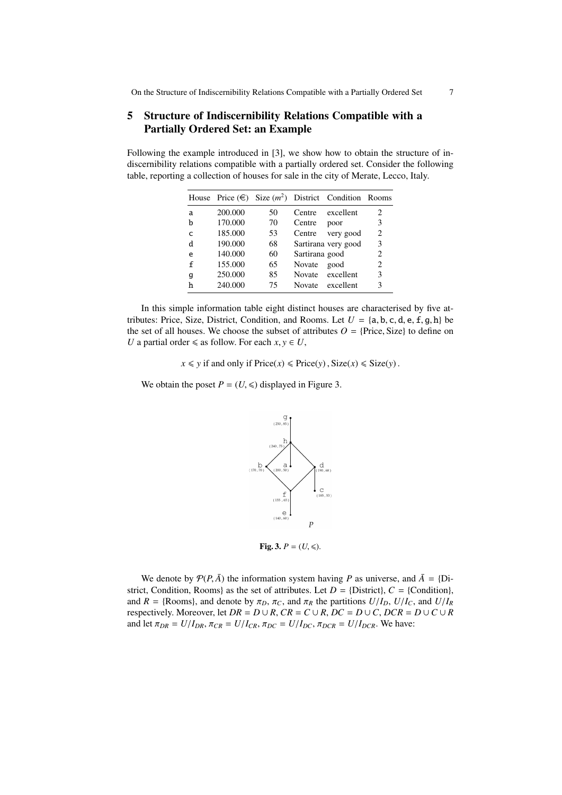# 5 Structure of Indiscernibility Relations Compatible with a Partially Ordered Set: an Example

Following the example introduced in [3], we show how to obtain the structure of indiscernibility relations compatible with a partially ordered set. Consider the following table, reporting a collection of houses for sale in the city of Merate, Lecco, Italy.

|   |         |    |                | House Price ( $\in$ ) Size ( $m^2$ ) District Condition Rooms |   |
|---|---------|----|----------------|---------------------------------------------------------------|---|
| a | 200.000 | 50 | Centre         | excellent                                                     | 2 |
| b | 170,000 | 70 | Centre         | poor                                                          | 3 |
| C | 185.000 | 53 |                | Centre very good                                              | 2 |
| d | 190.000 | 68 |                | Sartirana very good                                           | 3 |
| e | 140.000 | 60 | Sartirana good |                                                               | 2 |
| f | 155.000 | 65 | Novate         | good                                                          | 2 |
| g | 250.000 | 85 |                | Novate excellent                                              | 3 |
| h | 240.000 | 75 |                | Novate excellent                                              | ٩ |

In this simple information table eight distinct houses are characterised by five attributes: Price, Size, District, Condition, and Rooms. Let  $U = \{a, b, c, d, e, f, g, h\}$  be the set of all houses. We choose the subset of attributes  $O = \{Price, Size\}$  to define on *U* a partial order  $\le$  as follow. For each  $x, y \in U$ ,

 $x \le y$  if and only if  $\text{Price}(x) \le \text{Price}(y)$ ,  $\text{Size}(x) \le \text{Size}(y)$ .

We obtain the poset  $P = (U, \leq)$  displayed in Figure 3.



**Fig. 3.**  $P = (U, \leqslant)$ .

We denote by  $P(P, \overline{A})$  the information system having P as universe, and  $\overline{A} = \{Di - B\}$ strict, Condition, Rooms} as the set of attributes. Let  $D = \{D\text{istrict}\}, C = \{Condition\}$ , and  $R = \{\text{Rooms}\}\$ , and denote by  $\pi_D$ ,  $\pi_C$ , and  $\pi_R$  the partitions  $U/I_D$ ,  $U/I_C$ , and  $U/I_R$ respectively. Moreover, let  $DR = D \cup R$ ,  $CR = C \cup R$ ,  $DC = D \cup C$ ,  $DCR = D \cup C \cup R$ and let  $\pi_{DR} = U/I_{DR}, \pi_{CR} = U/I_{CR}, \pi_{DC} = U/I_{DC}, \pi_{DCR} = U/I_{DCR}$ . We have: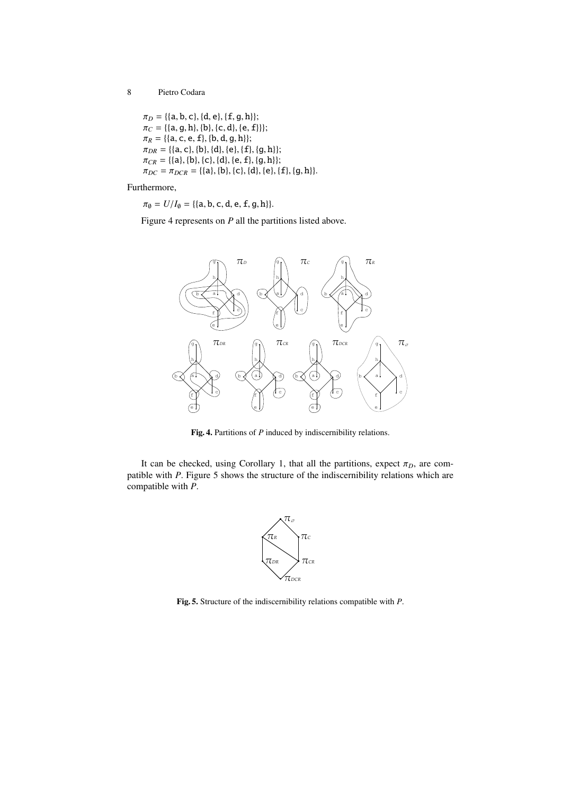8 Pietro Codara

```
\pi_D = \{ \{a, b, c\}, \{d, e\}, \{f, g, h\} \};\pi_C = \{\{\text{a}, \text{g}, \text{h}\}, \{\text{b}\}, \{\text{c}, \text{d}\}, \{\text{e}, \text{f}\}\}\};\pi_R = \{ \{a, c, e, f\}, \{b, d, g, h\} \};\pi_{DR} = \{\{a, c\}, \{b\}, \{d\}, \{e\}, \{f\}, \{g, h\}\};\pi_{CR} = \{ \{a\}, \{b\}, \{c\}, \{d\}, \{e, f\}, \{g, h\} \};\pi_{DC} = \pi_{DCR} = \{\{\mathtt{a}\},\{\mathtt{b}\},\{\mathtt{c}\},\{\mathtt{d}\},\{\mathtt{e}\},\{\mathtt{f}\},\{\mathtt{g},\mathtt{h}\}\}.
```
Furthermore,

 $\pi_{\emptyset} = U/I_{\emptyset} = \{ \{a, b, c, d, e, f, g, h \} \}.$ 

Figure 4 represents on *P* all the partitions listed above.



Fig. 4. Partitions of *P* induced by indiscernibility relations.

It can be checked, using Corollary 1, that all the partitions, expect  $\pi_D$ , are compatible with *P*. Figure 5 shows the structure of the indiscernibility relations which are compatible with *P*.



Fig. 5. Structure of the indiscernibility relations compatible with *P*.